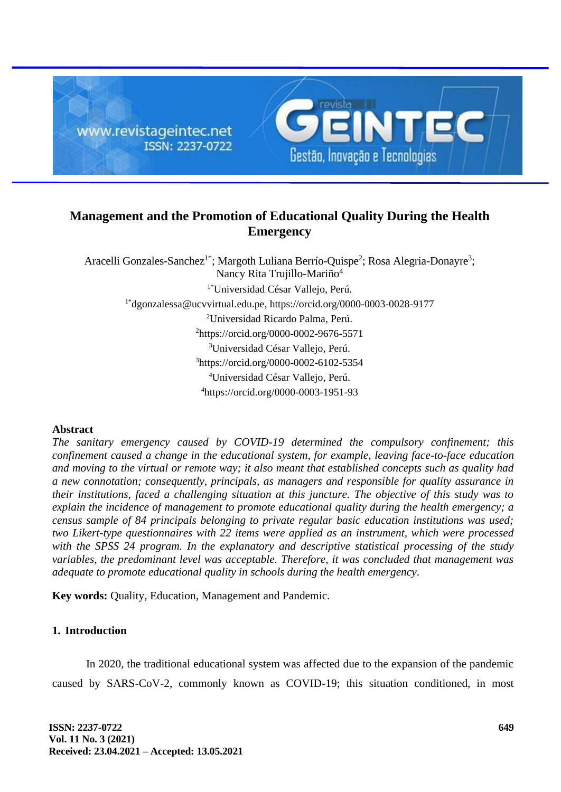

# **Management and the Promotion of Educational Quality During the Health Emergency**

Aracelli Gonzales-Sanchez<sup>1\*</sup>; Margoth Luliana Berrío-Quispe<sup>2</sup>; Rosa Alegria-Donayre<sup>3</sup>; Nancy Rita Trujillo-Mariño<sup>4</sup> 1\*Universidad César Vallejo, Perú. 1\*[dgonzalessa@ucvvirtual.edu.pe,](mailto:dgonzalessa@ucvvirtual.edu.pe) <https://orcid.org/0000-0003-0028-9177> <sup>2</sup>Universidad Ricardo Palma, Perú. <sup>2</sup><https://orcid.org/0000-0002-9676-5571> <sup>3</sup>Universidad César Vallejo, Perú. <sup>3</sup>https://orcid.org/0000-0002-6102-5354 <sup>4</sup>Universidad César Vallejo, Perú. <sup>4</sup>https://orcid.org/0000-0003-1951-93

# **Abstract**

*The sanitary emergency caused by COVID-19 determined the compulsory confinement; this confinement caused a change in the educational system, for example, leaving face-to-face education and moving to the virtual or remote way; it also meant that established concepts such as quality had a new connotation; consequently, principals, as managers and responsible for quality assurance in their institutions, faced a challenging situation at this juncture. The objective of this study was to explain the incidence of management to promote educational quality during the health emergency; a census sample of 84 principals belonging to private regular basic education institutions was used; two Likert-type questionnaires with 22 items were applied as an instrument, which were processed with the SPSS 24 program. In the explanatory and descriptive statistical processing of the study variables, the predominant level was acceptable. Therefore, it was concluded that management was adequate to promote educational quality in schools during the health emergency*.

**Key words:** Quality, Education, Management and Pandemic.

# **1. Introduction**

In 2020, the traditional educational system was affected due to the expansion of the pandemic caused by SARS-CoV-2, commonly known as COVID-19; this situation conditioned, in most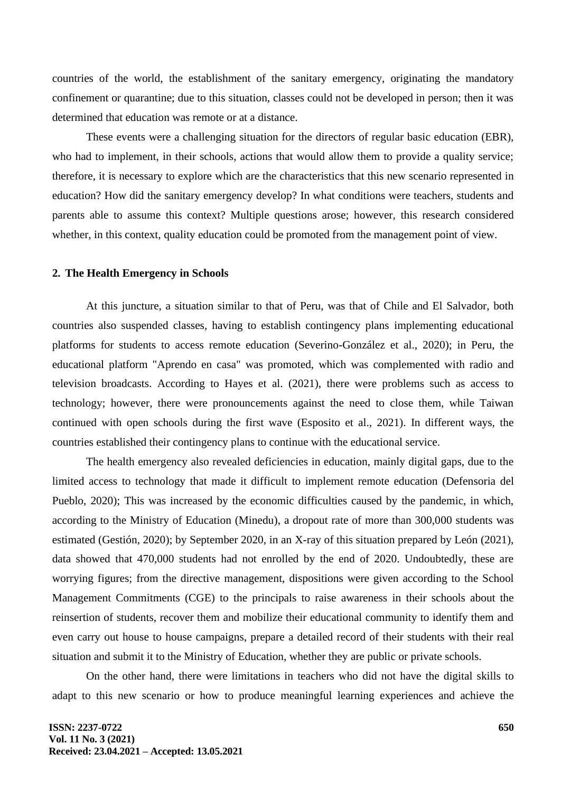countries of the world, the establishment of the sanitary emergency, originating the mandatory confinement or quarantine; due to this situation, classes could not be developed in person; then it was determined that education was remote or at a distance.

These events were a challenging situation for the directors of regular basic education (EBR), who had to implement, in their schools, actions that would allow them to provide a quality service; therefore, it is necessary to explore which are the characteristics that this new scenario represented in education? How did the sanitary emergency develop? In what conditions were teachers, students and parents able to assume this context? Multiple questions arose; however, this research considered whether, in this context, quality education could be promoted from the management point of view.

#### **2. The Health Emergency in Schools**

At this juncture, a situation similar to that of Peru, was that of Chile and El Salvador, both countries also suspended classes, having to establish contingency plans implementing educational platforms for students to access remote education (Severino-González et al., 2020); in Peru, the educational platform "Aprendo en casa" was promoted, which was complemented with radio and television broadcasts. According to Hayes et al. (2021), there were problems such as access to technology; however, there were pronouncements against the need to close them, while Taiwan continued with open schools during the first wave (Esposito et al., 2021). In different ways, the countries established their contingency plans to continue with the educational service.

The health emergency also revealed deficiencies in education, mainly digital gaps, due to the limited access to technology that made it difficult to implement remote education (Defensoria del Pueblo, 2020); This was increased by the economic difficulties caused by the pandemic, in which, according to the Ministry of Education (Minedu), a dropout rate of more than 300,000 students was estimated (Gestión, 2020); by September 2020, in an X-ray of this situation prepared by León (2021), data showed that 470,000 students had not enrolled by the end of 2020. Undoubtedly, these are worrying figures; from the directive management, dispositions were given according to the School Management Commitments (CGE) to the principals to raise awareness in their schools about the reinsertion of students, recover them and mobilize their educational community to identify them and even carry out house to house campaigns, prepare a detailed record of their students with their real situation and submit it to the Ministry of Education, whether they are public or private schools.

On the other hand, there were limitations in teachers who did not have the digital skills to adapt to this new scenario or how to produce meaningful learning experiences and achieve the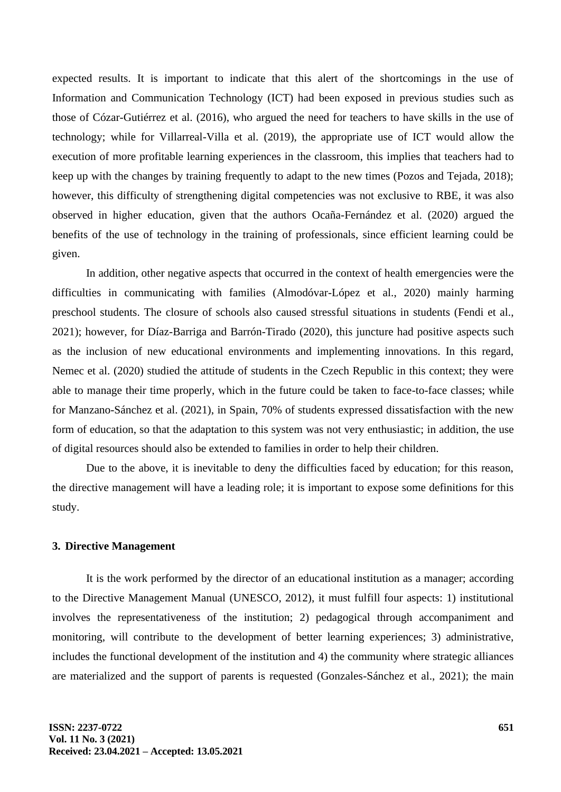expected results. It is important to indicate that this alert of the shortcomings in the use of Information and Communication Technology (ICT) had been exposed in previous studies such as those of Cózar-Gutiérrez et al. (2016), who argued the need for teachers to have skills in the use of technology; while for Villarreal-Villa et al. (2019), the appropriate use of ICT would allow the execution of more profitable learning experiences in the classroom, this implies that teachers had to keep up with the changes by training frequently to adapt to the new times (Pozos and Tejada, 2018); however, this difficulty of strengthening digital competencies was not exclusive to RBE, it was also observed in higher education, given that the authors Ocaña-Fernández et al. (2020) argued the benefits of the use of technology in the training of professionals, since efficient learning could be given.

In addition, other negative aspects that occurred in the context of health emergencies were the difficulties in communicating with families (Almodóvar-López et al., 2020) mainly harming preschool students. The closure of schools also caused stressful situations in students (Fendi et al., 2021); however, for Díaz-Barriga and Barrón-Tirado (2020), this juncture had positive aspects such as the inclusion of new educational environments and implementing innovations. In this regard, Nemec et al. (2020) studied the attitude of students in the Czech Republic in this context; they were able to manage their time properly, which in the future could be taken to face-to-face classes; while for Manzano-Sánchez et al. (2021), in Spain, 70% of students expressed dissatisfaction with the new form of education, so that the adaptation to this system was not very enthusiastic; in addition, the use of digital resources should also be extended to families in order to help their children.

Due to the above, it is inevitable to deny the difficulties faced by education; for this reason, the directive management will have a leading role; it is important to expose some definitions for this study.

### **3. Directive Management**

It is the work performed by the director of an educational institution as a manager; according to the Directive Management Manual (UNESCO, 2012), it must fulfill four aspects: 1) institutional involves the representativeness of the institution; 2) pedagogical through accompaniment and monitoring, will contribute to the development of better learning experiences; 3) administrative, includes the functional development of the institution and 4) the community where strategic alliances are materialized and the support of parents is requested (Gonzales-Sánchez et al., 2021); the main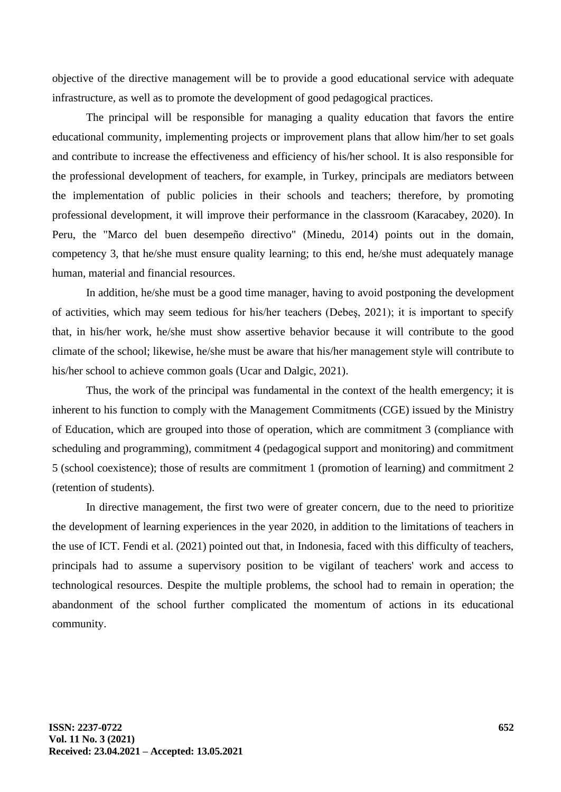objective of the directive management will be to provide a good educational service with adequate infrastructure, as well as to promote the development of good pedagogical practices.

The principal will be responsible for managing a quality education that favors the entire educational community, implementing projects or improvement plans that allow him/her to set goals and contribute to increase the effectiveness and efficiency of his/her school. It is also responsible for the professional development of teachers, for example, in Turkey, principals are mediators between the implementation of public policies in their schools and teachers; therefore, by promoting professional development, it will improve their performance in the classroom (Karacabey, 2020). In Peru, the "Marco del buen desempeño directivo" (Minedu, 2014) points out in the domain, competency 3, that he/she must ensure quality learning; to this end, he/she must adequately manage human, material and financial resources.

In addition, he/she must be a good time manager, having to avoid postponing the development of activities, which may seem tedious for his/her teachers (Debeş, 2021); it is important to specify that, in his/her work, he/she must show assertive behavior because it will contribute to the good climate of the school; likewise, he/she must be aware that his/her management style will contribute to his/her school to achieve common goals (Ucar and Dalgic, 2021).

Thus, the work of the principal was fundamental in the context of the health emergency; it is inherent to his function to comply with the Management Commitments (CGE) issued by the Ministry of Education, which are grouped into those of operation, which are commitment 3 (compliance with scheduling and programming), commitment 4 (pedagogical support and monitoring) and commitment 5 (school coexistence); those of results are commitment 1 (promotion of learning) and commitment 2 (retention of students).

In directive management, the first two were of greater concern, due to the need to prioritize the development of learning experiences in the year 2020, in addition to the limitations of teachers in the use of ICT. Fendi et al. (2021) pointed out that, in Indonesia, faced with this difficulty of teachers, principals had to assume a supervisory position to be vigilant of teachers' work and access to technological resources. Despite the multiple problems, the school had to remain in operation; the abandonment of the school further complicated the momentum of actions in its educational community.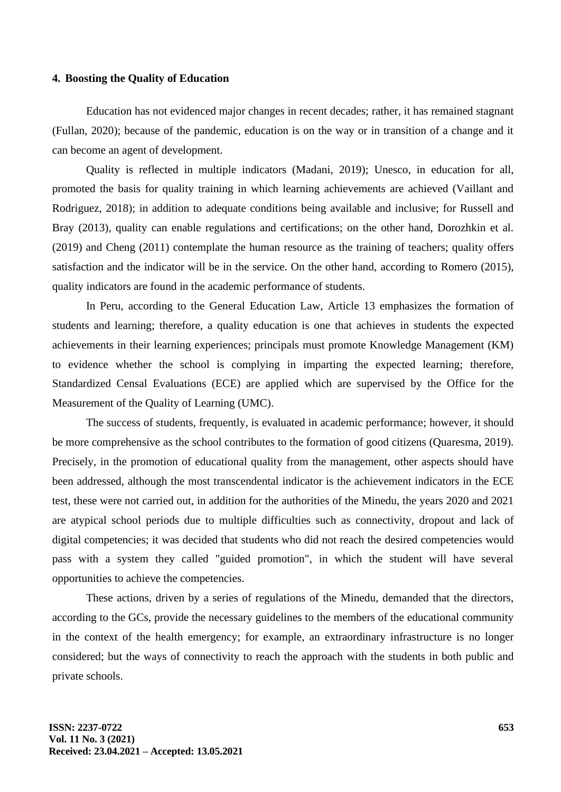#### **4. Boosting the Quality of Education**

Education has not evidenced major changes in recent decades; rather, it has remained stagnant (Fullan, 2020); because of the pandemic, education is on the way or in transition of a change and it can become an agent of development.

Quality is reflected in multiple indicators (Madani, 2019); Unesco, in education for all, promoted the basis for quality training in which learning achievements are achieved (Vaillant and Rodriguez, 2018); in addition to adequate conditions being available and inclusive; for Russell and Bray (2013), quality can enable regulations and certifications; on the other hand, Dorozhkin et al. (2019) and Cheng (2011) contemplate the human resource as the training of teachers; quality offers satisfaction and the indicator will be in the service. On the other hand, according to Romero (2015), quality indicators are found in the academic performance of students.

In Peru, according to the General Education Law, Article 13 emphasizes the formation of students and learning; therefore, a quality education is one that achieves in students the expected achievements in their learning experiences; principals must promote Knowledge Management (KM) to evidence whether the school is complying in imparting the expected learning; therefore, Standardized Censal Evaluations (ECE) are applied which are supervised by the Office for the Measurement of the Quality of Learning (UMC).

The success of students, frequently, is evaluated in academic performance; however, it should be more comprehensive as the school contributes to the formation of good citizens (Quaresma, 2019). Precisely, in the promotion of educational quality from the management, other aspects should have been addressed, although the most transcendental indicator is the achievement indicators in the ECE test, these were not carried out, in addition for the authorities of the Minedu, the years 2020 and 2021 are atypical school periods due to multiple difficulties such as connectivity, dropout and lack of digital competencies; it was decided that students who did not reach the desired competencies would pass with a system they called "guided promotion", in which the student will have several opportunities to achieve the competencies.

These actions, driven by a series of regulations of the Minedu, demanded that the directors, according to the GCs, provide the necessary guidelines to the members of the educational community in the context of the health emergency; for example, an extraordinary infrastructure is no longer considered; but the ways of connectivity to reach the approach with the students in both public and private schools.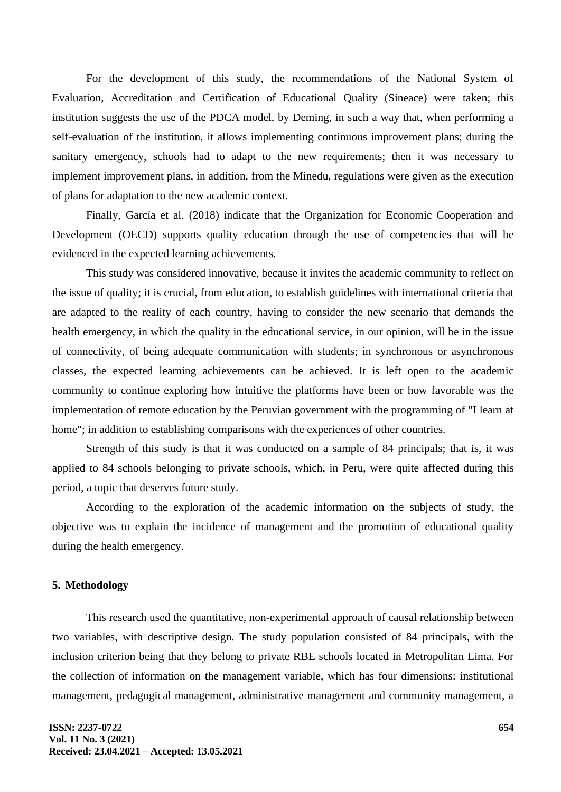For the development of this study, the recommendations of the National System of Evaluation, Accreditation and Certification of Educational Quality (Sineace) were taken; this institution suggests the use of the PDCA model, by Deming, in such a way that, when performing a self-evaluation of the institution, it allows implementing continuous improvement plans; during the sanitary emergency, schools had to adapt to the new requirements; then it was necessary to implement improvement plans, in addition, from the Minedu, regulations were given as the execution of plans for adaptation to the new academic context.

Finally, García et al. (2018) indicate that the Organization for Economic Cooperation and Development (OECD) supports quality education through the use of competencies that will be evidenced in the expected learning achievements.

This study was considered innovative, because it invites the academic community to reflect on the issue of quality; it is crucial, from education, to establish guidelines with international criteria that are adapted to the reality of each country, having to consider the new scenario that demands the health emergency, in which the quality in the educational service, in our opinion, will be in the issue of connectivity, of being adequate communication with students; in synchronous or asynchronous classes, the expected learning achievements can be achieved. It is left open to the academic community to continue exploring how intuitive the platforms have been or how favorable was the implementation of remote education by the Peruvian government with the programming of "I learn at home"; in addition to establishing comparisons with the experiences of other countries.

Strength of this study is that it was conducted on a sample of 84 principals; that is, it was applied to 84 schools belonging to private schools, which, in Peru, were quite affected during this period, a topic that deserves future study.

According to the exploration of the academic information on the subjects of study, the objective was to explain the incidence of management and the promotion of educational quality during the health emergency.

# **5. Methodology**

This research used the quantitative, non-experimental approach of causal relationship between two variables, with descriptive design. The study population consisted of 84 principals, with the inclusion criterion being that they belong to private RBE schools located in Metropolitan Lima. For the collection of information on the management variable, which has four dimensions: institutional management, pedagogical management, administrative management and community management, a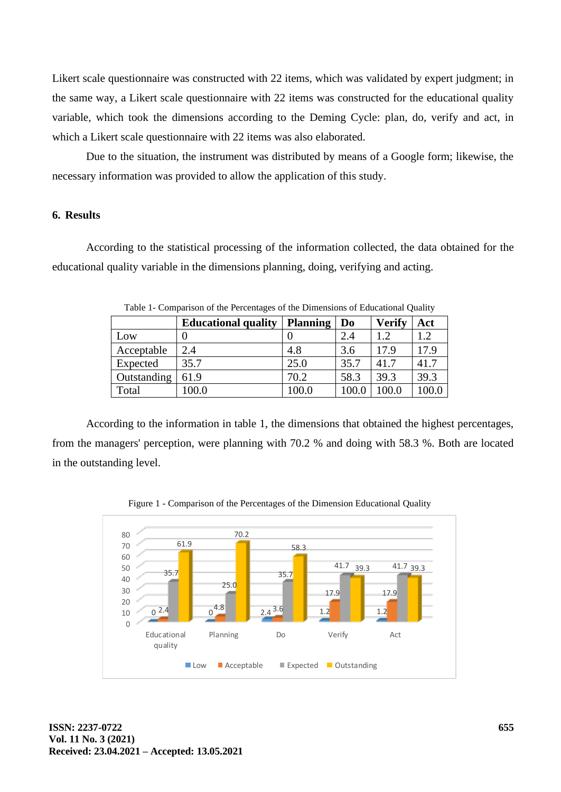Likert scale questionnaire was constructed with 22 items, which was validated by expert judgment; in the same way, a Likert scale questionnaire with 22 items was constructed for the educational quality variable, which took the dimensions according to the Deming Cycle: plan, do, verify and act, in which a Likert scale questionnaire with 22 items was also elaborated.

Due to the situation, the instrument was distributed by means of a Google form; likewise, the necessary information was provided to allow the application of this study.

# **6. Results**

According to the statistical processing of the information collected, the data obtained for the educational quality variable in the dimensions planning, doing, verifying and acting.

| Tuble 1 Companion of the Percentages of the Dimensions of Baucational Quantity |                            |                 |                |               |      |  |  |  |  |  |
|--------------------------------------------------------------------------------|----------------------------|-----------------|----------------|---------------|------|--|--|--|--|--|
|                                                                                | <b>Educational quality</b> | <b>Planning</b> | D <sub>0</sub> | <b>Verify</b> | Act  |  |  |  |  |  |
| Low                                                                            |                            |                 | 2.4            | 1.2           | 1.2  |  |  |  |  |  |
| Acceptable                                                                     | 2.4                        | 4.8             | 3.6            | 17.9          | 17.9 |  |  |  |  |  |
| Expected                                                                       | 35.7                       | 25.0            | 35.7           | 41.7          | 41.7 |  |  |  |  |  |
| Outstanding                                                                    | 61.9                       | 70.2            | 58.3           | 39.3          | 39.3 |  |  |  |  |  |
| Total                                                                          | 100.0                      | 100.0           | 100.0          | 100.0         |      |  |  |  |  |  |

Table 1- Comparison of the Percentages of the Dimensions of Educational Quality

According to the information in table 1, the dimensions that obtained the highest percentages, from the managers' perception, were planning with 70.2 % and doing with 58.3 %. Both are located in the outstanding level.

Figure 1 - Comparison of the Percentages of the Dimension Educational Quality

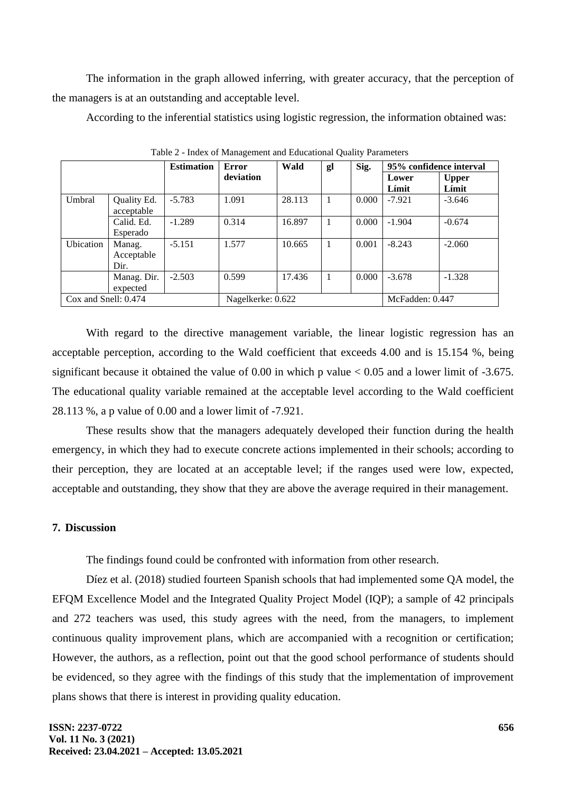The information in the graph allowed inferring, with greater accuracy, that the perception of the managers is at an outstanding and acceptable level.

According to the inferential statistics using logistic regression, the information obtained was:

| ັ                    |             |                   |                    |        |                 |       |                         |              |
|----------------------|-------------|-------------------|--------------------|--------|-----------------|-------|-------------------------|--------------|
|                      |             | <b>Estimation</b> | Error<br>deviation | Wald   | gl              | Sig.  | 95% confidence interval |              |
|                      |             |                   |                    |        |                 |       | Lower                   | <b>Upper</b> |
|                      |             |                   |                    |        |                 |       | Límit                   | Límit        |
| Umbral               | Quality Ed. | $-5.783$          | 1.091              | 28.113 | 1               | 0.000 | $-7.921$                | $-3.646$     |
|                      | acceptable  |                   |                    |        |                 |       |                         |              |
|                      | Calid. Ed.  | $-1.289$          | 0.314              | 16.897 |                 | 0.000 | $-1.904$                | $-0.674$     |
|                      | Esperado    |                   |                    |        |                 |       |                         |              |
| Ubication            | Manag.      | $-5.151$          | 1.577              | 10.665 |                 | 0.001 | $-8.243$                | $-2.060$     |
|                      | Acceptable  |                   |                    |        |                 |       |                         |              |
|                      | Dir.        |                   |                    |        |                 |       |                         |              |
|                      | Manag. Dir. | $-2.503$          | 0.599              | 17.436 | 1               | 0.000 | $-3.678$                | $-1.328$     |
|                      | expected    |                   |                    |        |                 |       |                         |              |
| Cox and Snell: 0.474 |             | Nagelkerke: 0.622 |                    |        | McFadden: 0.447 |       |                         |              |

Table 2 - Index of Management and Educational Quality Parameters

With regard to the directive management variable, the linear logistic regression has an acceptable perception, according to the Wald coefficient that exceeds 4.00 and is 15.154 %, being significant because it obtained the value of 0.00 in which p value < 0.05 and a lower limit of -3.675. The educational quality variable remained at the acceptable level according to the Wald coefficient 28.113 %, a p value of 0.00 and a lower limit of -7.921.

These results show that the managers adequately developed their function during the health emergency, in which they had to execute concrete actions implemented in their schools; according to their perception, they are located at an acceptable level; if the ranges used were low, expected, acceptable and outstanding, they show that they are above the average required in their management.

### **7. Discussion**

The findings found could be confronted with information from other research.

Díez et al. (2018) studied fourteen Spanish schools that had implemented some QA model, the EFQM Excellence Model and the Integrated Quality Project Model (IQP); a sample of 42 principals and 272 teachers was used, this study agrees with the need, from the managers, to implement continuous quality improvement plans, which are accompanied with a recognition or certification; However, the authors, as a reflection, point out that the good school performance of students should be evidenced, so they agree with the findings of this study that the implementation of improvement plans shows that there is interest in providing quality education.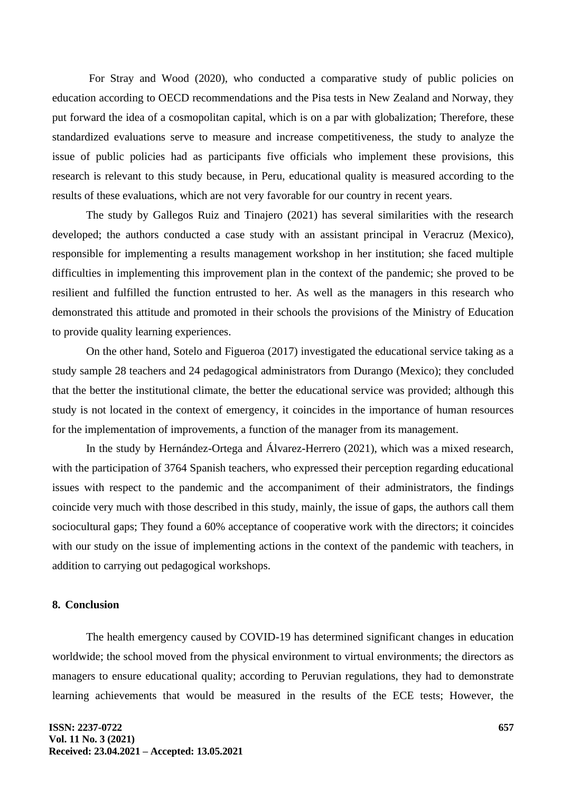For Stray and Wood (2020), who conducted a comparative study of public policies on education according to OECD recommendations and the Pisa tests in New Zealand and Norway, they put forward the idea of a cosmopolitan capital, which is on a par with globalization; Therefore, these standardized evaluations serve to measure and increase competitiveness, the study to analyze the issue of public policies had as participants five officials who implement these provisions, this research is relevant to this study because, in Peru, educational quality is measured according to the results of these evaluations, which are not very favorable for our country in recent years.

The study by Gallegos Ruiz and Tinajero (2021) has several similarities with the research developed; the authors conducted a case study with an assistant principal in Veracruz (Mexico), responsible for implementing a results management workshop in her institution; she faced multiple difficulties in implementing this improvement plan in the context of the pandemic; she proved to be resilient and fulfilled the function entrusted to her. As well as the managers in this research who demonstrated this attitude and promoted in their schools the provisions of the Ministry of Education to provide quality learning experiences.

On the other hand, Sotelo and Figueroa (2017) investigated the educational service taking as a study sample 28 teachers and 24 pedagogical administrators from Durango (Mexico); they concluded that the better the institutional climate, the better the educational service was provided; although this study is not located in the context of emergency, it coincides in the importance of human resources for the implementation of improvements, a function of the manager from its management.

In the study by Hernández-Ortega and Álvarez-Herrero (2021), which was a mixed research, with the participation of 3764 Spanish teachers, who expressed their perception regarding educational issues with respect to the pandemic and the accompaniment of their administrators, the findings coincide very much with those described in this study, mainly, the issue of gaps, the authors call them sociocultural gaps; They found a 60% acceptance of cooperative work with the directors; it coincides with our study on the issue of implementing actions in the context of the pandemic with teachers, in addition to carrying out pedagogical workshops.

# **8. Conclusion**

The health emergency caused by COVID-19 has determined significant changes in education worldwide; the school moved from the physical environment to virtual environments; the directors as managers to ensure educational quality; according to Peruvian regulations, they had to demonstrate learning achievements that would be measured in the results of the ECE tests; However, the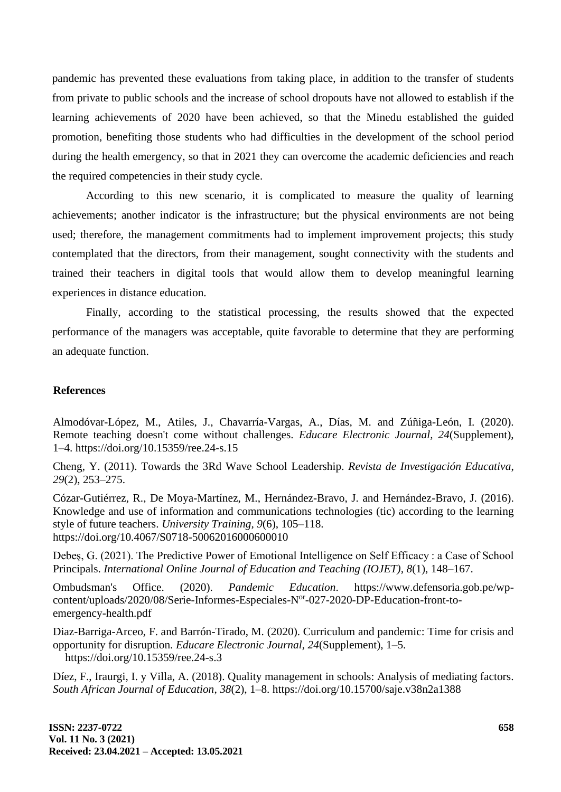pandemic has prevented these evaluations from taking place, in addition to the transfer of students from private to public schools and the increase of school dropouts have not allowed to establish if the learning achievements of 2020 have been achieved, so that the Minedu established the guided promotion, benefiting those students who had difficulties in the development of the school period during the health emergency, so that in 2021 they can overcome the academic deficiencies and reach the required competencies in their study cycle.

According to this new scenario, it is complicated to measure the quality of learning achievements; another indicator is the infrastructure; but the physical environments are not being used; therefore, the management commitments had to implement improvement projects; this study contemplated that the directors, from their management, sought connectivity with the students and trained their teachers in digital tools that would allow them to develop meaningful learning experiences in distance education.

Finally, according to the statistical processing, the results showed that the expected performance of the managers was acceptable, quite favorable to determine that they are performing an adequate function.

#### **References**

Almodóvar-López, M., Atiles, J., Chavarría-Vargas, A., Días, M. and Zúñiga-León, I. (2020). Remote teaching doesn't come without challenges. *Educare Electronic Journal, 24*(Supplement), 1–4. https://doi.org/10.15359/ree.24-s.15

Cheng, Y. (2011). Towards the 3Rd Wave School Leadership. *Revista de Investigación Educativa*, *29*(2), 253–275.

Cózar-Gutiérrez, R., De Moya-Martínez, M., Hernández-Bravo, J. and Hernández-Bravo, J. (2016). Knowledge and use of information and communications technologies (tic) according to the learning style of future teachers. *University Training, 9*(6), 105–118. https://doi.org/10.4067/S0718-50062016000600010

Debeş, G. (2021). The Predictive Power of Emotional Intelligence on Self Efficacy : a Case of School Principals. *International Online Journal of Education and Teaching (IOJET), 8*(1), 148–167.

Ombudsman's Office. (2020). *Pandemic Education*. https://www.defensoria.gob.pe/wpcontent/uploads/2020/08/Serie-Informes-Especiales-N<sup>or</sup>-027-2020-DP-Education-front-toemergency-health.pdf

Diaz-Barriga-Arceo, F. and Barrón-Tirado, M. (2020). Curriculum and pandemic: Time for crisis and opportunity for disruption. *Educare Electronic Journal, 24*(Supplement), 1–5. https://doi.org/10.15359/ree.24-s.3

Díez, F., Iraurgi, I. y Villa, A. (2018). Quality management in schools: Analysis of mediating factors. *South African Journal of Education*, *38*(2), 1–8. https://doi.org/10.15700/saje.v38n2a1388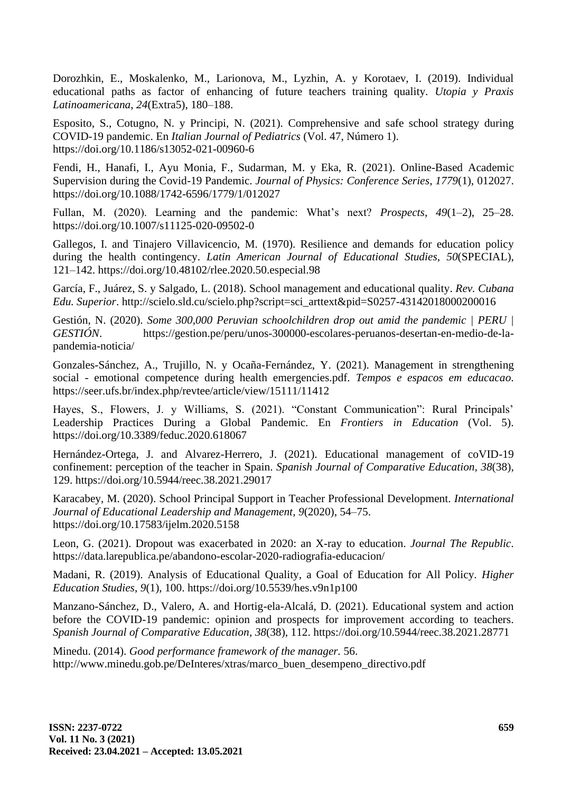Dorozhkin, E., Moskalenko, M., Larionova, M., Lyzhin, A. y Korotaev, I. (2019). Individual educational paths as factor of enhancing of future teachers training quality. *Utopia y Praxis Latinoamericana*, *24*(Extra5), 180–188.

Esposito, S., Cotugno, N. y Principi, N. (2021). Comprehensive and safe school strategy during COVID-19 pandemic. En *Italian Journal of Pediatrics* (Vol. 47, Número 1). https://doi.org/10.1186/s13052-021-00960-6

Fendi, H., Hanafi, I., Ayu Monia, F., Sudarman, M. y Eka, R. (2021). Online-Based Academic Supervision during the Covid-19 Pandemic. *Journal of Physics: Conference Series*, *1779*(1), 012027. https://doi.org/10.1088/1742-6596/1779/1/012027

Fullan, M. (2020). Learning and the pandemic: What's next? *Prospects*, *49*(1–2), 25–28. https://doi.org/10.1007/s11125-020-09502-0

Gallegos, I. and Tinajero Villavicencio, M. (1970). Resilience and demands for education policy during the health contingency. *Latin American Journal of Educational Studies, 50*(SPECIAL), 121–142. https://doi.org/10.48102/rlee.2020.50.especial.98

García, F., Juárez, S. y Salgado, L. (2018). School management and educational quality. *Rev. Cubana Edu. Superior*. http://scielo.sld.cu/scielo.php?script=sci\_arttext&pid=S0257-43142018000200016

Gestión, N. (2020). *Some 300,000 Peruvian schoolchildren drop out amid the pandemic | PERU | GESTIÓN*. https://gestion.pe/peru/unos-300000-escolares-peruanos-desertan-en-medio-de-lapandemia-noticia/

Gonzales-Sánchez, A., Trujillo, N. y Ocaña-Fernández, Y. (2021). Management in strengthening social - emotional competence during health emergencies.pdf. *Tempos e espacos em educacao*. https://seer.ufs.br/index.php/revtee/article/view/15111/11412

Hayes, S., Flowers, J. y Williams, S. (2021). "Constant Communication": Rural Principals' Leadership Practices During a Global Pandemic. En *Frontiers in Education* (Vol. 5). https://doi.org/10.3389/feduc.2020.618067

Hernández-Ortega, J. and Alvarez-Herrero, J. (2021). Educational management of coVID-19 confinement: perception of the teacher in Spain. *Spanish Journal of Comparative Education, 38*(38), 129. https://doi.org/10.5944/reec.38.2021.29017

Karacabey, M. (2020). School Principal Support in Teacher Professional Development. *International Journal of Educational Leadership and Management*, *9*(2020), 54–75. https://doi.org/10.17583/ijelm.2020.5158

Leon, G. (2021). Dropout was exacerbated in 2020: an X-ray to education. *Journal The Republic*. https://data.larepublica.pe/abandono-escolar-2020-radiografia-educacion/

Madani, R. (2019). Analysis of Educational Quality, a Goal of Education for All Policy. *Higher Education Studies*, *9*(1), 100. https://doi.org/10.5539/hes.v9n1p100

Manzano-Sánchez, D., Valero, A. and Hortig-ela-Alcalá, D. (2021). Educational system and action before the COVID-19 pandemic: opinion and prospects for improvement according to teachers. *Spanish Journal of Comparative Education, 38*(38), 112. https://doi.org/10.5944/reec.38.2021.28771

Minedu. (2014). *Good performance framework of the manager.* 56. http://www.minedu.gob.pe/DeInteres/xtras/marco\_buen\_desempeno\_directivo.pdf